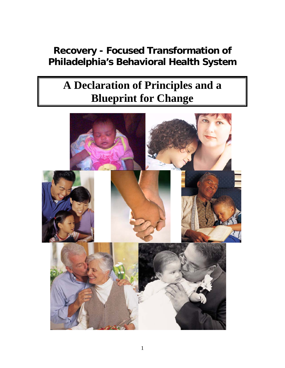## **Recovery - Focused Transformation of Philadelphia's Behavioral Health System**

# **A Declaration of Principles and a Blueprint for Change**

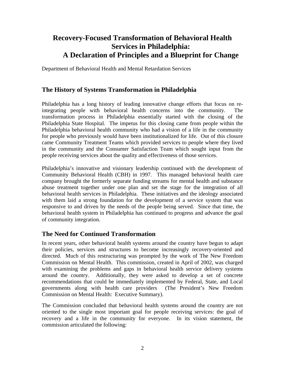## **Recovery-Focused Transformation of Behavioral Health Services in Philadelphia: A Declaration of Principles and a Blueprint for Change**

Department of Behavioral Health and Mental Retardation Services

#### **The History of Systems Transformation in Philadelphia**

Philadelphia has a long history of leading innovative change efforts that focus on reintegrating people with behavioral health concerns into the community. The transformation process in Philadelphia essentially started with the closing of the Philadelphia State Hospital. The impetus for this closing came from people within the Philadelphia behavioral health community who had a vision of a life in the community for people who previously would have been institutionalized for life. Out of this closure came Community Treatment Teams which provided services to people where they lived in the community and the Consumer Satisfaction Team which sought input from the people receiving services about the quality and effectiveness of those services.

Philadelphia's innovative and visionary leadership continued with the development of Community Behavioral Health (CBH) in 1997. This managed behavioral health care company brought the formerly separate funding streams for mental health and substance abuse treatment together under one plan and set the stage for the integration of all behavioral health services in Philadelphia. These initiatives and the ideology associated with them laid a strong foundation for the development of a service system that was responsive to and driven by the needs of the people being served. Since that time, the behavioral health system in Philadelphia has continued to progress and advance the goal of community integration.

#### **The Need for Continued Transformation**

In recent years, other behavioral health systems around the country have begun to adapt their policies, services and structures to become increasingly recovery-oriented and directed. Much of this restructuring was prompted by the work of The New Freedom Commission on Mental Health. This commission, created in April of 2002, was charged with examining the problems and gaps in behavioral health service delivery systems around the country. Additionally, they were asked to develop a set of concrete recommendations that could be immediately implemented by Federal, State, and Local governments along with health care providers (The President's New Freedom Commission on Mental Health: Executive Summary).

The Commission concluded that behavioral health systems around the country are not oriented to the single most important goal for people receiving services: the goal of recovery and a life in the community for everyone. In its vision statement, the commission articulated the following: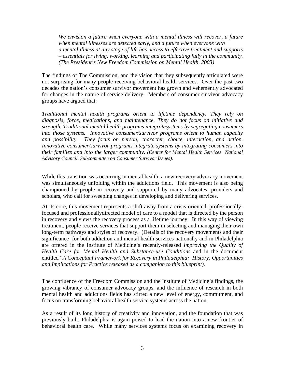*We envision a future when everyone with a mental illness will recover, a future when mental illnesses are detected early, and a future when everyone with a mental illness at any stage of life has access to effective treatment and supports – essentials for living, working, learning and participating fully in the community. (The President's New Freedom Commission on Mental Health, 2003)* 

The findings of The Commission, and the vision that they subsequently articulated were not surprising for many people receiving behavioral health services. Over the past two decades the nation's consumer survivor movement has grown and vehemently advocated for changes in the nature of service delivery. Members of consumer survivor advocacy groups have argued that:

*Traditional mental health programs orient to lifetime dependency. They rely on diagnosis, force, medications, and maintenance. They do not focus on initiative and strength. Traditional mental health programs integratesystems by segregating consumers into those systems. Innovative consumer/survivor programs orient to human capacity and possibility. They focus on person, character, choice, interaction, and action. Innovative consumer/survivor programs integrate systems by integrating consumers into their families and into the larger community. (Center for Mental Health Services National Advisory Council, Subcommittee on Consumer Survivor Issues).*

While this transition was occurring in mental health, a new recovery advocacy movement was simultaneously unfolding within the addictions field. This movement is also being championed by people in recovery and supported by many advocates, providers and scholars, who call for sweeping changes in developing and delivering services.

At its core, this movement represents a shift away from a crisis-oriented, professionallyfocused and professionallydirected model of care to a model that is directed by the person in recovery and views the recovery process as a lifetime journey. In this way of viewing treatment, people receive services that support them in selecting and managing their own long-term pathways and styles of recovery. (Details of the recovery movements and their significance for both addiction and mental health services nationally and in Philadelphia are offered in the Institute of Medicine's recently-released *Improving the Quality of Health Care for Mental Health and Substance-use Conditions* and in the document entitled "*A Conceptual Framework for Recovery in Philadelphia: History, Opportunities and Implications for Practice released as a companion to this blueprint).* 

The confluence of the Freedom Commission and the Institute of Medicine's findings, the growing vibrancy of consumer advocacy groups, and the influence of research in both mental health and addictions fields has stirred a new level of energy, commitment, and focus on transforming behavioral health service systems across the nation.

As a result of its long history of creativity and innovation, and the foundation that was previously built, Philadelphia is again poised to lead the nation into a new frontier of behavioral health care. While many services systems focus on examining recovery in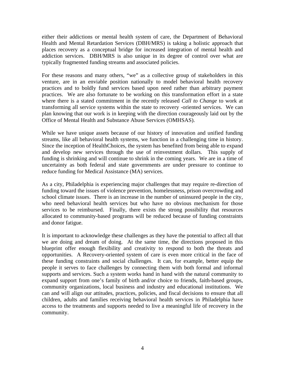either their addictions or mental health system of care, the Department of Behavioral Health and Mental Retardation Services (DBH/MRS) is taking a holistic approach that places recovery as a conceptual bridge for increased integration of mental health and addiction services. DBH/MRS is also unique in its degree of control over what are typically fragmented funding streams and associated policies.

For these reasons and many others, "we" as a collective group of stakeholders in this venture, are in an enviable position nationally to model behavioral health recovery practices and to boldly fund services based upon need rather than arbitrary payment practices. We are also fortunate to be working on this transformation effort in a state where there is a stated commitment in the recently released *Call to Change* to work at transforming all service systems within the state to recovery -oriented services. We can plan knowing that our work is in keeping with the direction courageously laid out by the Office of Mental Health and Substance Abuse Services (OMHSAS).

While we have unique assets because of our history of innovation and unified funding streams, like all behavioral health systems, we function in a challenging time in history. Since the inception of HealthChoices, the system has benefited from being able to expand and develop new services through the use of reinvestment dollars. This supply of funding is shrinking and will continue to shrink in the coming years. We are in a time of uncertainty as both federal and state governments are under pressure to continue to reduce funding for Medical Assistance (MA) services.

As a city, Philadelphia is experiencing major challenges that may require re-direction of funding toward the issues of violence prevention, homelessness, prison overcrowding and school climate issues. There is an increase in the number of uninsured people in the city, who need behavioral health services but who have no obvious mechanism for those services to be reimbursed. Finally, there exists the strong possibility that resources allocated to community-based programs will be reduced because of funding constraints and donor fatigue.

It is important to acknowledge these challenges as they have the potential to affect all that we are doing and dream of doing. At the same time, the directions proposed in this blueprint offer enough flexibility and creativity to respond to both the threats and opportunities. A Recovery-oriented system of care is even more critical in the face of these funding constraints and social challenges. It can, for example, better equip the people it serves to face challenges by connecting them with both formal and informal supports and services. Such a system works hand in hand with the natural community to expand support from one's family of birth and/or choice to friends, faith-based groups, community organizations, local business and industry and educational institutions. We can and will align our attitudes, practices, policies, and fiscal decisions to ensure that all children, adults and families receiving behavioral health services in Philadelphia have access to the treatments and supports needed to live a meaningful life of recovery in the community.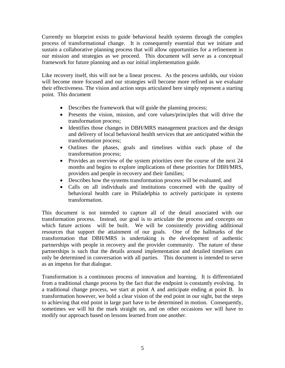Currently no blueprint exists to guide behavioral health systems through the complex process of transformational change. It is consequently essential that we initiate and sustain a collaborative planning process that will allow opportunities for a refinement in our mission and strategies as we proceed. This document will serve as a conceptual framework for future planning and as our initial implementation guide.

Like recovery itself, this will not be a linear process. As the process unfolds, our vision will become more focused and our strategies will become more refined as we evaluate their effectiveness. The vision and action steps articulated here simply represent a starting point. This document

- Describes the framework that will guide the planning process;
- Presents the vision, mission, and core values/principles that will drive the transformation process;
- Identifies those changes in DBH/MRS management practices and the design and delivery of local behavioral health services that are anticipated within the transformation process;
- Outlines the phases, goals and timelines within each phase of the transformation process;
- Provides an overview of the system priorities over the course of the next 24 months and begins to explore implications of these priorities for DBH/MRS, providers and people in recovery and their families;
- Describes how the systems transformation process will be evaluated, and
- Calls on all individuals and institutions concerned with the quality of behavioral health care in Philadelphia to actively participate in systems transformation.

This document is not intended to capture all of the detail associated with our transformation process. Instead, our goal is to articulate the process and concepts on which future actions will be built. We will be consistently providing additional resources that support the attainment of our goals. One of the hallmarks of the transformation that DBH/MRS is undertaking is the development of authentic partnerships with people in recovery and the provider community. The nature of these partnerships is such that the details around implementation and detailed timelines can only be determined in conversation with all parties. This document is intended to serve as an impetus for that dialogue.

Transformation is a continuous process of innovation and learning. It is differentiated from a traditional change process by the fact that the endpoint is constantly evolving. In a traditional change process, we start at point A and anticipate ending at point B. In transformation however, we hold a clear vision of the end point in our sight, but the steps to achieving that end point in large part have to be determined in motion. Consequently, sometimes we will hit the mark straight on, and on other occasions we will have to modify our approach based on lessons learned from one another.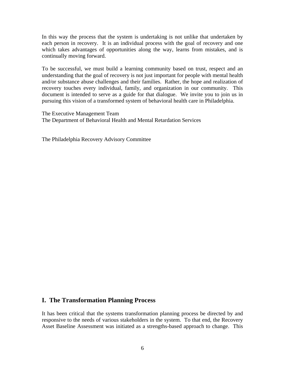In this way the process that the system is undertaking is not unlike that undertaken by each person in recovery. It is an individual process with the goal of recovery and one which takes advantages of opportunities along the way, learns from mistakes, and is continually moving forward.

To be successful, we must build a learning community based on trust, respect and an understanding that the goal of recovery is not just important for people with mental health and/or substance abuse challenges and their families. Rather, the hope and realization of recovery touches every individual, family, and organization in our community. This document is intended to serve as a guide for that dialogue. We invite you to join us in pursuing this vision of a transformed system of behavioral health care in Philadelphia.

The Executive Management Team The Department of Behavioral Health and Mental Retardation Services

The Philadelphia Recovery Advisory Committee

#### **I. The Transformation Planning Process**

It has been critical that the systems transformation planning process be directed by and responsive to the needs of various stakeholders in the system. To that end, the Recovery Asset Baseline Assessment was initiated as a strengths-based approach to change. This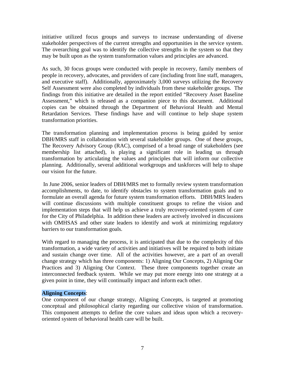initiative utilized focus groups and surveys to increase understanding of diverse stakeholder perspectives of the current strengths and opportunities in the service system. The overarching goal was to identify the collective strengths in the system so that they may be built upon as the system transformation values and principles are advanced.

As such, 30 focus groups were conducted with people in recovery, family members of people in recovery, advocates, and providers of care (including front line staff, managers, and executive staff). Additionally, approximately 3,000 surveys utilizing the Recovery Self Assessment were also completed by individuals from these stakeholder groups. The findings from this initiative are detailed in the report entitled "Recovery Asset Baseline Assessment," which is released as a companion piece to this document. Additional copies can be obtained through the Department of Behavioral Health and Mental Retardation Services. These findings have and will continue to help shape system transformation priorities.

The transformation planning and implementation process is being guided by senior DBH/MRS staff in collaboration with several stakeholder groups. One of these groups, The Recovery Advisory Group (RAC), comprised of a broad range of stakeholders (see membership list attached), is playing a significant role in leading us through transformation by articulating the values and principles that will inform our collective planning. Additionally, several additional workgroups and taskforces will help to shape our vision for the future.

 In June 2006, senior leaders of DBH/MRS met to formally review system transformation accomplishments, to date, to identify obstacles to system transformation goals and to formulate an overall agenda for future system transformation efforts. DBH/MRS leaders will continue discussions with multiple constituent groups to refine the vision and implementation steps that will help us achieve a truly recovery-oriented system of care for the City of Philadelphia. In addition these leaders are actively involved in discussions with OMHSAS and other state leaders to identify and work at minimizing regulatory barriers to our transformation goals.

With regard to managing the process, it is anticipated that due to the complexity of this transformation, a wide variety of activities and initiatives will be required to both initiate and sustain change over time. All of the activities however, are a part of an overall change strategy which has three components: 1) Aligning Our Concepts, 2) Aligning Our Practices and 3) Aligning Our Context. These three components together create an interconnected feedback system. While we may put more energy into one strategy at a given point in time, they will continually impact and inform each other.

#### **Aligning Concepts**:

One component of our change strategy, Aligning Concepts, is targeted at promoting conceptual and philosophical clarity regarding our collective vision of transformation. This component attempts to define the core values and ideas upon which a recoveryoriented system of behavioral health care will be built.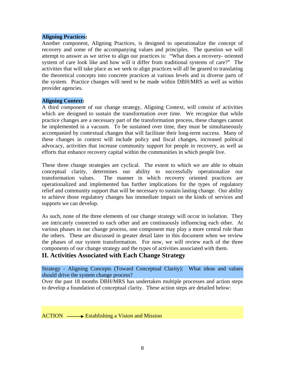#### **Aligning Practices:**

Another component, Aligning Practices, is designed to operationalize the concept of recovery and some of the accompanying values and principles. The question we will attempt to answer as we strive to align our practices is: "What does a recovery- oriented system of care look like and how will it differ from traditional systems of care?" The activities that will take place as we seek to align practices will all be geared to translating the theoretical concepts into concrete practices at various levels and in diverse parts of the system. Practice changes will need to be made within DBH/MRS as well as within provider agencies.

#### **Aligning Context:**

A third component of our change strategy, Aligning Context, will consist of activities which are designed to sustain the transformation over time. We recognize that while practice changes are a necessary part of the transformation process, these changes cannot be implemented in a vacuum. To be sustained over time, they must be simultaneously accompanied by contextual changes that will facilitate their long-term success. Many of these changes in context will include policy and fiscal changes, increased political advocacy, activities that increase community support for people in recovery, as well as efforts that enhance recovery capital within the communities in which people live.

These three change strategies are cyclical. The extent to which we are able to obtain conceptual clarity, determines our ability to successfully operationalize our transformation values. The manner in which recovery oriented practices are operationalized and implemented has further implications for the types of regulatory relief and community support that will be necessary to sustain lasting change. Our ability to achieve those regulatory changes has immediate impact on the kinds of services and supports we can develop.

As such, none of the three elements of our change strategy will occur in isolation. They are intricately connected to each other and are continuously influencing each other. At various phases in our change process, one component may play a more central role than the others. These are discussed in greater detail later in this document when we review the phases of our system transformation. For now, we will review each of the three components of our change strategy and the types of activities associated with them.

#### **II. Activities Associated with Each Change Strategy**

Strategy - Aligning Concepts (Toward Conceptual Clarity): What ideas and values should drive the system change process?

Over the past 18 months DBH/MRS has undertaken multiple processes and action steps to develop a foundation of conceptual clarity. These action steps are detailed below:

 $ACTION \longrightarrow$  Establishing a Vision and Mission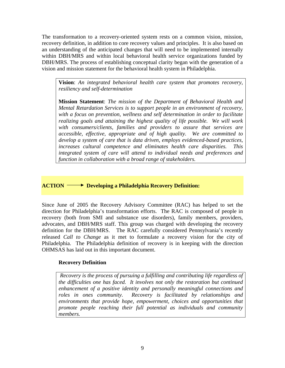The transformation to a recovery-oriented system rests on a common vision, mission, recovery definition, in addition to core recovery values and principles. It is also based on an understanding of the anticipated changes that will need to be implemented internally within DBH/MRS and within local behavioral health service organizations funded by DBH/MRS. The process of establishing conceptual clarity began with the generation of a vision and mission statement for the behavioral health system in Philadelphia.

**Vision**: *An integrated behavioral health care system that promotes recovery, resiliency and self-determination*

**Mission Statement**: *The mission of the Department of Behavioral Health and Mental Retardation Services is to support people in an environment of recovery, with a focus on prevention, wellness and self determination in order to facilitate realizing goals and attaining the highest quality of life possible. We will work with consumers/clients, families and providers to assure that services are accessible, effective, appropriate and of high quality. We are committed to develop a system of care that is data driven, employs evidenced-based practices, increases cultural competence and eliminates health care disparities. This integrated system of care will attend to individual needs and preferences and function in collaboration with a broad range of stakeholders.* 

**ACTION Developing a Philadelphia Recovery Definition:** 

Since June of 2005 the Recovery Advisory Committee (RAC) has helped to set the direction for Philadelphia's transformation efforts. The RAC is composed of people in recovery (both from SMI and substance use disorders), family members, providers, advocates, and DBH/MRS staff. This group was charged with developing the recovery definition for the DBH/MRS. The RAC carefully considered Pennsylvania's recently released *Call to Change* as it met to formulate a recovery vision for the city of Philadelphia. The Philadelphia definition of recovery is in keeping with the direction OHMSAS has laid out in this important document.

#### **Recovery Definition**

*Recovery is the process of pursuing a fulfilling and contributing life regardless of the difficulties one has faced. It involves not only the restoration but continued enhancement of a positive identity and personally meaningful connections and roles in ones community. Recovery is facilitated by relationships and environments that provide hope, empowerment, choices and opportunities that promote people reaching their full potential as individuals and community members.*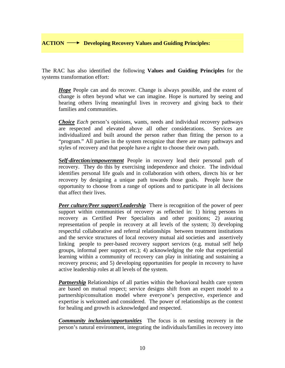The RAC has also identified the following **Values and Guiding Principles** for the systems transformation effort:

*Hope* People can and do recover. Change is always possible, and the extent of change is often beyond what we can imagine. Hope is nurtured by seeing and hearing others living meaningful lives in recovery and giving back to their families and communities.

*Choice Each* person's opinions, wants, needs and individual recovery pathways are respected and elevated above all other considerations. Services are individualized and built around the person rather than fitting the person to a "program." All parties in the system recognize that there are many pathways and styles of recovery and that people have a right to choose their own path.

**S***elf-direction/empowerment* People in recovery lead their personal path of recovery. They do this by exercising independence and choice. The individual identifies personal life goals and in collaboration with others, directs his or her recovery by designing a unique path towards those goals.People have the opportunity to choose from a range of options and to participate in all decisions that affect their lives.

*Peer culture/Peer support/Leadership* There is recognition of the power of peer support within communities of recovery as reflected in: 1) hiring persons in recovery as Certified Peer Specialists and other positions; 2) assuring representation of people in recovery at all levels of the system; 3) developing respectful collaborative and referral relationships between treatment institutions and the service structures of local recovery mutual aid societies and assertively linking people to peer-based recovery support services (e.g. mutual self help groups, informal peer support etc.); 4) acknowledging the role that experiential learning within a community of recovery can play in initiating and sustaining a recovery process; and 5) developing opportunities for people in recovery to have active leadership roles at all levels of the system.

*Partnership* Relationships of all parties within the behavioral health care system are based on mutual respect; service designs shift from an expert model to a partnership/consultation model where everyone's perspective, experience and expertise is welcomed and considered.The power of relationships as the context for healing and growth is acknowledged and respected.

*Community inclusion/opportunities* The focus is on nesting recovery in the person's natural environment, integrating the individuals/families in recovery into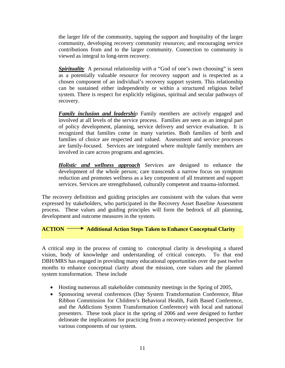the larger life of the community, tapping the support and hospitality of the larger community, developing recovery community resources; and encouraging service contributions from and to the larger community. Connection to community is viewed as integral to long-term recovery.

*Spirituality* A personal relationship *with a* "God of one's own choosing" is seen as a potentially valuable resource for recovery support and is respected as a chosen component of an individual's recovery support system. This relationship can be sustained either independently or within a structured religious belief system. There is respect for explicitly religious, spiritual and secular pathways of recovery.

*Family inclusion and leadership* Family members are *a*ctively engaged and involved at all levels of the service process. Families are seen as an integral part of policy development, planning, service delivery and service evaluation. It is recognized that families come in many varieties. Both families of birth and families of choice are respected and valued. Assessment and service processes are family-focused. Services are integrated where multiple family members are involved in care across programs and agencies.

*Holistic and wellness approach* Services are designed to enhance the development of the whole person; care transcends a narrow focus on symptom reduction and promotes wellness as a key component of all treatment and support services. Services are strengthsbased, culturally competent and trauma-informed.

The recovery definition and guiding principles are consistent with the values that were expressed by stakeholders, who participated in the Recovery Asset Baseline Assessment process. These values and guiding principles will form the bedrock of all planning, development and outcome measures in the system.

#### **ACTION** Additional Action Steps Taken to Enhance Conceptual Clarity

A critical step in the process of coming to conceptual clarity is developing a shared vision, body of knowledge and understanding of critical concepts. To that end DBH/MRS has engaged in providing many educational opportunities over the past twelve months to enhance conceptual clarity about the mission, core values and the planned system transformation. These include

- Hosting numerous all stakeholder community meetings in the Spring of 2005,
- Sponsoring several conferences (Day System Transformation Conference, Blue Ribbon Commission for Children's Behavioral Health, Faith Based Conference, and the Addictions System Transformation Conference) with local and national presenters. These took place in the spring of 2006 and were designed to further delineate the implications for practicing from a recovery-oriented perspective for various components of our system.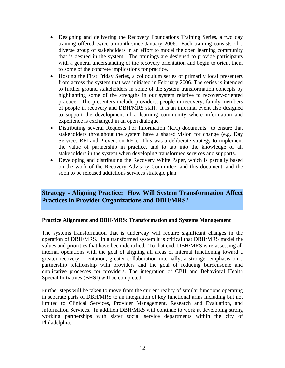- Designing and delivering the Recovery Foundations Training Series, a two day training offered twice a month since January 2006. Each training consists of a diverse group of stakeholders in an effort to model the open learning community that is desired in the system. The trainings are designed to provide participants with a general understanding of the recovery orientation and begin to orient them to some of the concrete implications for practice.
- Hosting the First Friday Series, a colloquium series of primarily local presenters from across the system that was initiated in February 2006. The series is intended to further ground stakeholders in some of the system transformation concepts by highlighting some of the strengths in our system relative to recovery-oriented practice. The presenters include providers, people in recovery, family members of people in recovery and DBH/MRS staff. It is an informal event also designed to support the development of a learning community where information and experience is exchanged in an open dialogue.
- Distributing several Requests For Information (RFI) documents to ensure that stakeholders throughout the system have a shared vision for change (e.g. Day Services RFI and Prevention RFI). This was a deliberate strategy to implement the value of partnership in practice, and to tap into the knowledge of all stakeholders in the system when developing transformed services and supports.
- Developing and distributing the Recovery White Paper, which is partially based on the work of the Recovery Advisory Committee, and this document, and the soon to be released addictions services strategic plan.

#### **Strategy - Aligning Practice: How Will System Transformation Affect Practices in Provider Organizations and DBH/MRS?**

#### **Practice Alignment and DBH/MRS: Transformation and Systems Management**

The systems transformation that is underway will require significant changes in the operation of DBH/MRS. In a transformed system it is critical that DBH/MRS model the values and priorities that have been identified. To that end, DBH/MRS is re-assessing all internal operations with the goal of aligning all areas of internal functioning toward a greater recovery orientation, greater collaboration internally, a stronger emphasis on a partnership relationship with providers and the goal of reducing burdensome and duplicative processes for providers. The integration of CBH and Behavioral Health Special Initiatives (BHSI) will be completed.

Further steps will be taken to move from the current reality of similar functions operating in separate parts of DBH/MRS to an integration of key functional arms including but not limited to Clinical Services, Provider Management, Research and Evaluation, and Information Services.In addition DBH/MRS will continue to work at developing strong working partnerships with sister social service departments within the city of Philadelphia.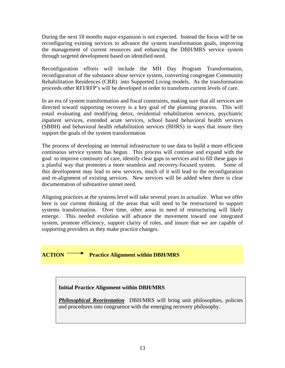During the next 18 months major expansion is not expected. Instead the focus will be on reconfiguring existing services to advance the system transformation goals, improving the management of current resources and enhancing the DBH/MRS service system through targeted development based on identified need.

Reconfiguration efforts will include the MH Day Program Transformation, reconfiguration of the substance abuse service system, converting congregate Community Rehabilitation Residences (CRR) into Supported Living models. As the transformation proceeds other RFI/RFP's will be developed in order to transform current levels of care.

In an era of system transformation and fiscal constraints, making sure that all services are directed toward supporting recovery is a key goal of the planning process. This will entail evaluating and modifying detox, residential rehabilitation services, psychiatric inpatient services, extended acute services, school based behavioral health services (SBBH) and behavioral health rehabilitation services (BHRS) in ways that insure they support the goals of the system transformation

The process of developing an internal infrastructure to use data to build a more efficient continuous service system has begun. This process will continue and expand with the goal to improve continuity of care, identify clear gaps in services and to fill these gaps in a planful way that promotes a more seamless and recovery-focused system. Some of this development may lead to new services, much of it will lead to the reconfiguration and re-alignment of existing services. New services will be added when there is clear documentation of substantive unmet need.

Aligning practices at the systems level will take several years to actualize. What we offer here is our current thinking of the areas that will need to be restructured to support systems transformation. Over time, other areas in need of restructuring will likely emerge. This needed evolution will advance the movement toward one integrated system, promote efficiency, support clarity of roles, and insure that we are capable of supporting providers as they make practice changes.

#### **ACTION** Practice Alignment within DBH/MRS

#### **Initial Practice Alignment within DBH/MRS**

*Philosophical Reorientation* DBH/MRS will bring unit philosophies, policies and procedures into congruence with the emerging recovery philosophy.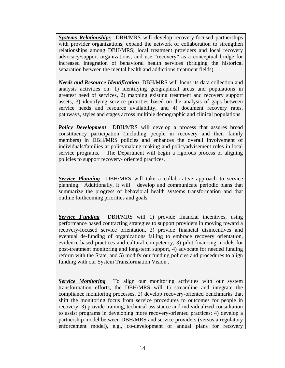*Systems Relationships* DBH/MRS will develop recovery-focused partnerships with provider organizations; expand the network of collaboration to strengthen relationships among DBH/MRS; local treatment providers and local recovery advocacy/support organizations; and use "recovery" as a conceptual bridge for increased integration of behavioral health services (bridging the historical separation between the mental health and addictions treatment fields).

*Needs and Resource Identification* DBH/MRS will focus its data collection and analysis activities on: 1) identifying geographical areas and populations in greatest need of services, 2) mapping existing treatment and recovery support assets, 3) identifying service priorities based on the analysis of gaps between service needs and resource availability, and 4) document recovery rates, pathways, styles and stages across multiple demographic and clinical populations.

*Policy Development* DBH/MRS will develop a process that assures broad constituency participation (including people in recovery and their family members) in DBH/MRS policies and enhances the overall involvement of individuals/families at policymaking making and policyadvisement roles in local service programs. The Department will begin a rigorous process of aligning policies to support recovery- oriented practices.

**Service Planning** DBH/MRS will take a collaborative approach to service planning. Additionally, it will develop and communicate periodic plans that summarize the progress of behavioral health systems transformation and that outline forthcoming priorities and goals.

*Service Funding* DBH/MRS will 1) provide financial incentives, using performance based contracting strategies to support providers in moving toward a recovery-focused service orientation, 2) provide financial disincentives and eventual de-funding of organizations failing to embrace recovery orientation, evidence-based practices and cultural competency, 3) pilot financing models for post-treatment monitoring and long-term support, 4) advocate for needed funding reform with the State, and 5) modify our funding policies and procedures to align funding with our System Transformation Vision .

*Service Monitoring* To align our monitoring activities with our system transformation efforts, the DBH/MRS will 1) streamline and integrate the compliance monitoring processes, 2) develop recovery-oriented benchmarks that shift the monitoring focus from service procedures to outcomes for people in recovery; 3) provide training, technical assistance and individualized consultation to assist programs in developing more recovery-oriented practices; 4) develop a partnership model between DBH/MRS and service providers (versus a regulatory enforcement model), e.g., co-development of annual plans for recovery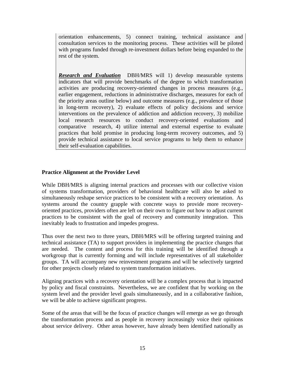orientation enhancements, 5) connect training, technical assistance and consultation services to the monitoring process. These activities will be piloted with programs funded through re-investment dollars before being expanded to the rest of the system.

*Research and Evaluation* DBH/MRS will 1) develop measurable systems indicators that will provide benchmarks of the degree to which transformation activities are producing recovery-oriented changes in process measures (e.g., earlier engagement, reductions in administrative discharges, measures for each of the priority areas outline below) and outcome measures (e.g., prevalence of those in long-term recovery), 2) evaluate effects of policy decisions and service interventions on the prevalence of addiction and addiction recovery, 3) mobilize local research resources to conduct recovery-oriented evaluations and comparative research, 4) utilize internal and external expertise to evaluate practices that hold promise in producing long-term recovery outcomes, and 5) provide technical assistance to local service programs to help them to enhance their self-evaluation capabilities.

#### **Practice Alignment at the Provider Level**

While DBH/MRS is aligning internal practices and processes with our collective vision of systems transformation, providers of behavioral healthcare will also be asked to simultaneously reshape service practices to be consistent with a recovery orientation. As systems around the country grapple with concrete ways to provide more recoveryoriented practices, providers often are left on their own to figure out how to adjust current practices to be consistent with the goal of recovery and community integration. This inevitably leads to frustration and impedes progress.

Thus over the next two to three years, DBH/MRS will be offering targeted training and technical assistance (TA) to support providers in implementing the practice changes that are needed. The content and process for this training will be identified through a workgroup that is currently forming and will include representatives of all stakeholder groups. TA will accompany new reinvestment programs and will be selectively targeted for other projects closely related to system transformation initiatives.

Aligning practices with a recovery orientation will be a complex process that is impacted by policy and fiscal constraints. Nevertheless, we are confident that by working on the system level and the provider level goals simultaneously, and in a collaborative fashion, we will be able to achieve significant progress.

Some of the areas that will be the focus of practice changes will emerge as we go through the transformation process and as people in recovery increasingly voice their opinions about service delivery. Other areas however, have already been identified nationally as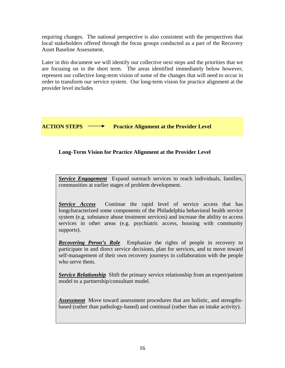requiring changes. The national perspective is also consistent with the perspectives that local stakeholders offered through the focus groups conducted as a part of the Recovery Asset Baseline Assessment.

Later in this document we will identify our collective next steps and the priorities that we are focusing on in the short term. The areas identified immediately below however, represent our collective long-term vision of some of the changes that will need to occur in order to transform our service system. Our long-term vision for practice alignment at the provider level includes

#### **ACTION STEPS**  $\longrightarrow$  **Practice Alignment at the Provider Level**

#### **Long-Term Vision for Practice Alignment at the Provider Level**

*Service Engagement* Expand outreach services to reach individuals, families, communities at earlier stages of problem development.

*Service Access* Continue the rapid level of service access that has longcharacterized some components of the Philadelphia behavioral health service system (e.g. substance abuse treatment services) and increase the ability to access services in other areas (e.g. psychiatric access, housing with community supports).

*Recovering Peron's Role* Emphasize the rights of people in recovery to participate in and direct service decisions, plan for services, and to move toward self-management of their own recovery journeys in collaboration with the people who serve them.

*Service Relationship* Shift the primary service relationship from an expert/patient model to a partnership/consultant model.

*Assessment* Move toward assessment procedures that are holistic, and strengthsbased (rather than pathology-based) and continual (rather than an intake activity).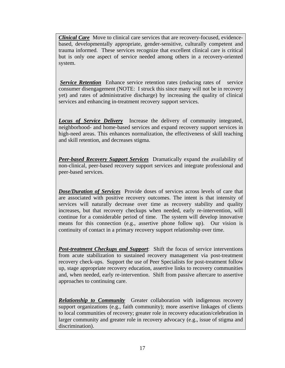*Clinical Care* Move to clinical care services that are recovery-focused, evidencebased, developmentally appropriate, gender-sensitive, culturally competent and trauma informed. These services recognize that excellent clinical care is critical but is only one aspect of service needed among others in a recovery-oriented system.

**Service Retention** Enhance service retention rates (reducing rates of service consumer disengagement (NOTE: I struck this since many will not be in recovery yet) and rates of administrative discharge) by increasing the quality of clinical services and enhancing in-treatment recovery support services.

*Locus of Service Delivery* Increase the delivery of community integrated, neighborhood- and home-based services and expand recovery support services in high-need areas. This enhances normalization, the effectiveness of skill teaching and skill retention, and decreases stigma.

*Peer-based Recovery Support Services* Dramatically expand the availability of non-clinical, peer-based recovery support services and integrate professional and peer-based services.

*Dose/Duration of Services* Provide doses of services across levels of care that are associated with positive recovery outcomes. The intent is that intensity of services will naturally decrease over time as recovery stability and quality increases, but that recovery checkups when needed, early re-intervention, will continue for a considerable period of time. The system will develop innovative means for this connection (e.g., assertive phone follow up). Our vision is continuity of contact in a primary recovery support relationship over time.

*Post-treatment Checkups and Support*: Shift the focus of service interventions from acute stabilization to sustained recovery management via post-treatment recovery check-ups. Support the use of Peer Specialists for post-treatment follow up, stage appropriate recovery education, assertive links to recovery communities and, when needed, early re-intervention. Shift from passive aftercare to assertive approaches to continuing care.

*Relationship to Community* Greater collaboration with indigenous recovery support organizations (e.g., faith community); more assertive linkages of clients to local communities of recovery; greater role in recovery education/celebration in larger community and greater role in recovery advocacy (e.g., issue of stigma and discrimination).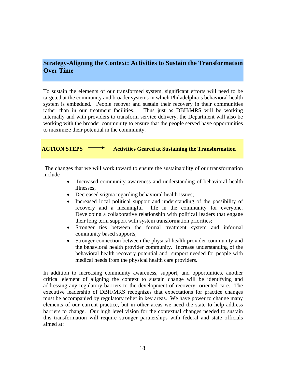#### **Strategy-Aligning the Context: Activities to Sustain the Transformation Over Time**

To sustain the elements of our transformed system, significant efforts will need to be targeted at the community and broader systems in which Philadelphia's behavioral health system is embedded. People recover and sustain their recovery in their communities rather than in our treatment facilities.Thus just as DBH/MRS will be working internally and with providers to transform service delivery, the Department will also be working with the broader community to ensure that the people served have opportunities to maximize their potential in the community.

**ACTION STEPS**  $\longrightarrow$  Activities Geared at Sustaining the Transformation

 The changes that we will work toward to ensure the sustainability of our transformation include

- Increased community awareness and understanding of behavioral health illnesses;
- Decreased stigma regarding behavioral health issues;
- Increased local political support and understanding of the possibility of recovery and a meaningful life in the community for everyone. Developing a collaborative relationship with political leaders that engage their long term support with system transformation priorities;
- Stronger ties between the formal treatment system and informal community based supports;
- Stronger connection between the physical health provider community and the behavioral health provider community. Increase understanding of the behavioral health recovery potential and support needed for people with medical needs from the physical health care providers.

In addition to increasing community awareness, support, and opportunities, another critical element of aligning the context to sustain change will be identifying and addressing any regulatory barriers to the development of recovery- oriented care. The executive leadership of DBH/MRS recognizes that expectations for practice changes must be accompanied by regulatory relief in key areas. We have power to change many elements of our current practice, but in other areas we need the state to help address barriers to change. Our high level vision for the contextual changes needed to sustain this transformation will require stronger partnerships with federal and state officials aimed at: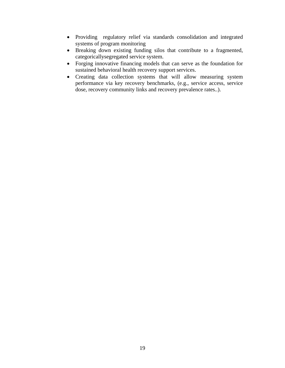- Providing regulatory relief via standards consolidation and integrated systems of program monitoring
- Breaking down existing funding silos that contribute to a fragmented, categoricallysegregated service system.
- Forging innovative financing models that can serve as the foundation for sustained behavioral health recovery support services.
- Creating data collection systems that will allow measuring system performance via key recovery benchmarks, (e.g., service access, service dose, recovery community links and recovery prevalence rates..).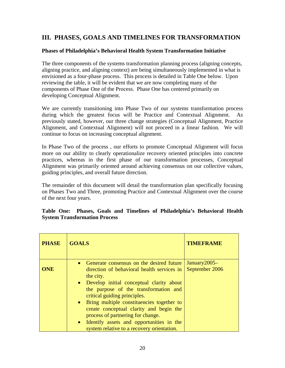#### **III. PHASES, GOALS AND TIMELINES FOR TRANSFORMATION**

#### **Phases of Philadelphia's Behavioral Health System Transformation Initiative**

The three components of the systems transformation planning process (aligning concepts, aligning practice, and aligning context) are being simultaneously implemented in what is envisioned as a four-phase process. This process is detailed in Table One below. Upon reviewing the table, it will be evident that we are now completing many of the components of Phase One of the Process. Phase One has centered primarily on developing Conceptual Alignment.

We are currently transitioning into Phase Two of our systems transformation process during which the greatest focus will be Practice and Contextual Alignment. As previously stated, however, our three change strategies (Conceptual Alignment, Practice Alignment, and Contextual Alignment) will not proceed in a linear fashion. We will continue to focus on increasing conceptual alignment.

In Phase Two of the process , our efforts to promote Conceptual Alignment will focus more on our ability to clearly operationalize recovery oriented principles into concrete practices, whereas in the first phase of our transformation processes, Conceptual Alignment was primarily oriented around achieving consensus on our collective values, guiding principles, and overall future direction.

The remainder of this document will detail the transformation plan specifically focusing on Phases Two and Three, promoting Practice and Contextual Alignment over the course of the next four years.

|  |                                      |  |  | Table One: Phases, Goals and Timelines of Philadelphia's Behavioral Health |  |
|--|--------------------------------------|--|--|----------------------------------------------------------------------------|--|
|  | <b>System Transformation Process</b> |  |  |                                                                            |  |

| <b>PHASE</b> | <b>GOALS</b>                                                                                                                                                                                                                                                                                                                                                                                                                                            | <b>TIMEFRAME</b>                  |
|--------------|---------------------------------------------------------------------------------------------------------------------------------------------------------------------------------------------------------------------------------------------------------------------------------------------------------------------------------------------------------------------------------------------------------------------------------------------------------|-----------------------------------|
| ONE          | • Generate consensus on the desired future<br>direction of behavioral health services in<br>the city.<br>• Develop initial conceptual clarity about<br>the purpose of the transformation and<br>critical guiding principles.<br>• Bring multiple constituencies together to<br>create conceptual clarity and begin the<br>process of partnering for change.<br>• Identify assets and opportunities in the<br>system relative to a recovery orientation. | January $2005-$<br>September 2006 |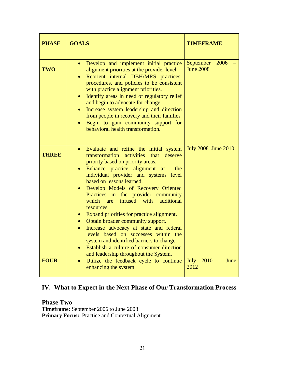| <b>PHASE</b> | <b>GOALS</b>                                                                                                                                                                                                                                                                                                                                                                                                                                                                                                                                                                                                                                                                                                                                          | <b>TIMEFRAME</b>                      |
|--------------|-------------------------------------------------------------------------------------------------------------------------------------------------------------------------------------------------------------------------------------------------------------------------------------------------------------------------------------------------------------------------------------------------------------------------------------------------------------------------------------------------------------------------------------------------------------------------------------------------------------------------------------------------------------------------------------------------------------------------------------------------------|---------------------------------------|
| <b>TWO</b>   | Develop and implement initial practice<br>$\bullet$<br>alignment priorities at the provider level.<br>Reorient internal DBH/MRS practices,<br>procedures, and policies to be consistent<br>with practice alignment priorities.<br>Identify areas in need of regulatory relief<br>$\bullet$<br>and begin to advocate for change.<br>Increase system leadership and direction<br>$\bullet$<br>from people in recovery and their families<br>Begin to gain community support for<br>$\bullet$<br>behavioral health transformation.                                                                                                                                                                                                                       | September<br>2006<br><b>June 2008</b> |
| <b>THREE</b> | Evaluate and refine the initial system<br>$\bullet$<br>activities that deserve<br>transformation<br>priority based on priority areas.<br>Enhance practice alignment at<br>the<br>$\bullet$<br>individual provider and systems level<br>based on lessons learned.<br>Develop Models of Recovery Oriented<br>Practices in the provider community<br>infused with<br>additional<br>which are<br>resources.<br>Expand priorities for practice alignment.<br>Obtain broader community support.<br>$\bullet$<br>Increase advocacy at state and federal<br>$\bullet$<br>levels based on successes within the<br>system and identified barriers to change.<br>Establish a culture of consumer direction<br>$\bullet$<br>and leadership throughout the System. | <b>July 2008–June 2010</b>            |
| <b>FOUR</b>  | Utilize the feedback cycle to continue<br>$\bullet$<br>enhancing the system.                                                                                                                                                                                                                                                                                                                                                                                                                                                                                                                                                                                                                                                                          | July<br>2010<br>June<br>2012          |

## **IV. What to Expect in the Next Phase of Our Transformation Process**

**Phase Two Timeframe:** September 2006 to June 2008 **Primary Focus:** Practice and Contextual Alignment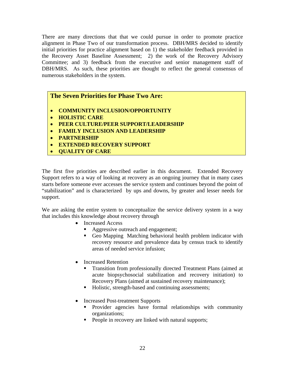There are many directions that that we could pursue in order to promote practice alignment in Phase Two of our transformation process. DBH/MRS decided to identify initial priorities for practice alignment based on 1) the stakeholder feedback provided in the Recovery Asset Baseline Assessment; 2) the work of the Recovery Advisory Committee; and 3) feedback from the executive and senior management staff of DBH/MRS. As such, these priorities are thought to reflect the general consensus of numerous stakeholders in the system.

#### **The Seven Priorities for Phase Two Are:**

- **COMMUNITY INCLUSION/OPPORTUNITY**
- **HOLISTIC CARE**
- **PEER CULTURE/PEER SUPPORT/LEADERSHIP**
- **FAMILY INCLUSION AND LEADERSHIP**
- **PARTNERSHIP**
- **EXTENDED RECOVERY SUPPORT**
- **QUALITY OF CARE**

The first five priorities are described earlier in this document. Extended Recovery Support refers to a way of looking at recovery as an ongoing journey that in many cases starts before someone ever accesses the service system and continues beyond the point of "stabilization" and is characterized by ups and downs, by greater and lesser needs for support.

We are asking the entire system to conceptualize the service delivery system in a way that includes this knowledge about recovery through

- Increased Access
	- Aggressive outreach and engagement;
	- Geo Mapping Matching behavioral health problem indicator with recovery resource and prevalence data by census track to identify areas of needed service infusion;
- Increased Retention
	- Transition from professionally directed Treatment Plans (aimed at acute biopsychosocial stabilization and recovery initiation) to Recovery Plans (aimed at sustained recovery maintenance);
	- Holistic, strength-based and continuing assessments;
- Increased Post-treatment Supports
	- **Provider agencies have formal relationships with community** organizations;
	- People in recovery are linked with natural supports;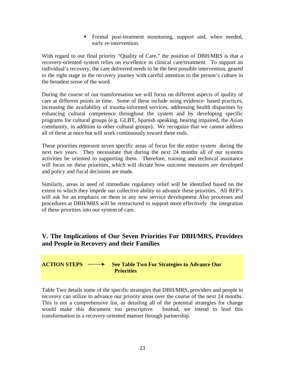Formal post-treatment monitoring, support and, when needed, early re-intervention.

With regard to our final priority "Quality of Care," the position of DBH/MRS is that a recovery-oriented system relies on excellence in clinical care/treatment. To support an individual's recovery, the care delivered needs to be the best possible intervention, geared to the right stage in the recovery journey with careful attention to the person's culture in the broadest sense of the word.

During the course of our transformation we will focus on different aspects of quality of care at different points in time. Some of these include using evidence- based practices, increasing the availability of trauma-informed services, addressing health disparities by enhancing cultural competence throughout the system and by developing specific programs for cultural groups (e.g. GLBT, Spanish speaking, hearing impaired, the Asian community, in addition to other cultural groups). We recognize that we cannot address all of these at once but will work continuously toward these ends.

These priorities represent seven specific areas of focus for the entire system during the next two years. They necessitate that during the next 24 months all of our systems activities be oriented to supporting them. Therefore, training and technical assistance will focus on these priorities, which will dictate how outcome measures are developed and policy and fiscal decisions are made.

Similarly, areas in need of immediate regulatory relief will be identified based on the extent to which they impede our collective ability to advance these priorities. All RFP's will ask for an emphasis on them in any new service development Also processes and procedures at DBH/MRS will be restructured to support more effectively the integration of these priorities into our system of care.

#### **V. The Implications of Our Seven Priorities For DBH/MRS, Providers and People in Recovery and their Families**



Table Two details some of the specific strategies that DBH/MRS, providers and people in recovery can utilize to advance our priority areas over the course of the next 24 months. This is not a comprehensive list, as detailing all of the potential strategies for change would make this document too prescriptive. Instead, we intend to lead this transformation in a recovery-oriented manner through partnership.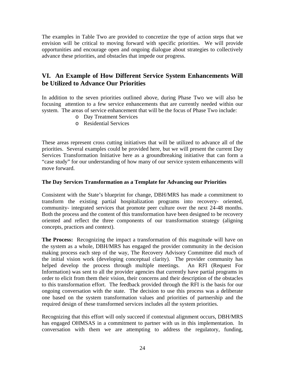The examples in Table Two are provided to concretize the type of action steps that we envision will be critical to moving forward with specific priorities. We will provide opportunities and encourage open and ongoing dialogue about strategies to collectively advance these priorities, and obstacles that impede our progress.

#### **VI. An Example of How Different Service System Enhancements Will be Utilized to Advance Our Priorities**

In addition to the seven priorities outlined above, during Phase Two we will also be focusing attention to a few service enhancements that are currently needed within our system. The areas of service enhancement that will be the focus of Phase Two include:

- o Day Treatment Services
- o Residential Services

These areas represent cross cutting initiatives that will be utilized to advance all of the priorities. Several examples could be provided here, but we will present the current Day Services Transformation Initiative here as a groundbreaking initiative that can form a "case study" for our understanding of how many of our service system enhancements will move forward.

#### **The Day Services Transformation as a Template for Advancing our Priorities**

Consistent with the State's blueprint for change, DBH/MRS has made a commitment to transform the existing partial hospitalization programs into recovery- oriented, community- integrated services that promote peer culture over the next 24-48 months. Both the process and the content of this transformation have been designed to be recovery oriented and reflect the three components of our transformation strategy (aligning concepts, practices and context).

**The Process:** Recognizing the impact a transformation of this magnitude will have on the system as a whole, DBH/MRS has engaged the provider community in the decision making process each step of the way, The Recovery Advisory Committee did much of the initial vision work (developing conceptual clarity). The provider community has helped develop the process through multiple meetings. An RFI (Request For Information) was sent to all the provider agencies that currently have partial programs in order to elicit from them their vision, their concerns and their description of the obstacles to this transformation effort. The feedback provided through the RFI is the basis for our ongoing conversation with the state. The decision to use this process was a deliberate one based on the system transformation values and priorities of partnership and the required design of these transformed services includes all the system priorities.

Recognizing that this effort will only succeed if contextual alignment occurs, DBH/MRS has engaged OHMSAS in a commitment to partner with us in this implementation. In conversation with them we are attempting to address the regulatory, funding,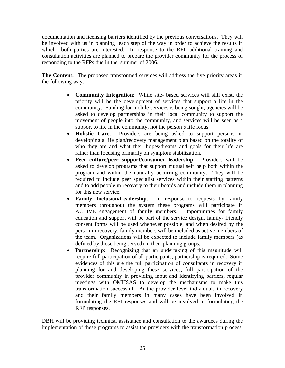documentation and licensing barriers identified by the previous conversations. They will be involved with us in planning each step of the way in order to achieve the results in which both parties are interested. In response to the RFI, additional training and consultation activities are planned to prepare the provider community for the process of responding to the RFPs due in the summer of 2006.

**The Content:** The proposed transformed services will address the five priority areas in the following way:

- **Community Integration**: While site- based services will still exist, the priority will be the development of services that support a life in the community. Funding for mobile services is being sought, agencies will be asked to develop partnerships in their local community to support the movement of people into the community, and services will be seen as a support to life in the community, not the person's life focus.
- **Holistic Care**: Providers are being asked to support persons in developing a life plan/recovery management plan based on the totality of who they are and what their hopes/dreams and goals for their life are rather than focusing primarily on symptom stabilization.
- **Peer culture/peer support/consumer leadership**: Providers will be asked to develop programs that support mutual self help both within the program and within the naturally occurring community. They will be required to include peer specialist services within their staffing patterns and to add people in recovery to their boards and include them in planning for this new service.
- **Family Inclusion/Leadership**: In response to requests by family members throughout the system these programs will participate in ACTIVE engagement of family members. Opportunities for family education and support will be part of the service design, family- friendly consent forms will be used whenever possible, and when desired by the person in recovery, family members will be included as active members of the team. Organizations will be expected to include family members (as defined by those being served) in their planning groups.
- **Partnership**: Recognizing that an undertaking of this magnitude will require full participation of all participants, partnership is required. Some evidences of this are the full participation of consultants in recovery in planning for and developing these services, full participation of the provider community in providing input and identifying barriers, regular meetings with OMHSAS to develop the mechanisms to make this transformation successful. At the provider level individuals in recovery and their family members in many cases have been involved in formulating the RFI responses and will be involved in formulating the RFP responses.

DBH will be providing technical assistance and consultation to the awardees during the implementation of these programs to assist the providers with the transformation process.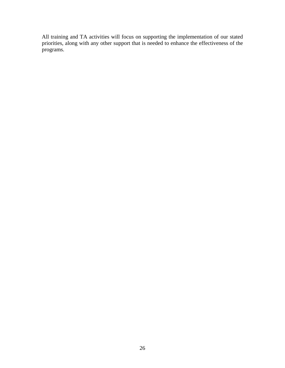All training and TA activities will focus on supporting the implementation of our stated priorities, along with any other support that is needed to enhance the effectiveness of the programs.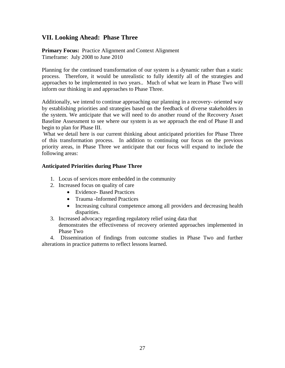#### **VII. Looking Ahead: Phase Three**

**Primary Focus:** Practice Alignment and Context Alignment Timeframe: July 2008 to June 2010

Planning for the continued transformation of our system is a dynamic rather than a static process. Therefore, it would be unrealistic to fully identify all of the strategies and approaches to be implemented in two years.. Much of what we learn in Phase Two will inform our thinking in and approaches to Phase Three.

Additionally, we intend to continue approaching our planning in a recovery- oriented way by establishing priorities and strategies based on the feedback of diverse stakeholders in the system. We anticipate that we will need to do another round of the Recovery Asset Baseline Assessment to see where our system is as we approach the end of Phase II and begin to plan for Phase III.

 What we detail here is our current thinking about anticipated priorities for Phase Three of this transformation process. In addition to continuing our focus on the previous priority areas, in Phase Three we anticipate that our focus will expand to include the following areas:

#### **Anticipated Priorities during Phase Three**

- 1. Locus of services more embedded in the community
- 2. Increased focus on quality of care
	- Evidence- Based Practices
	- Trauma -Informed Practices
	- Increasing cultural competence among all providers and decreasing health disparities.
- 3. Increased advocacy regarding regulatory relief using data that demonstrates the effectiveness of recovery oriented approaches implemented in Phase Two

 4. Dissemination of findings from outcome studies in Phase Two and further alterations in practice patterns to reflect lessons learned.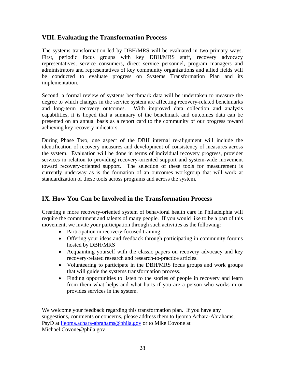#### **VIII. Evaluating the Transformation Process**

The systems transformation led by DBH/MRS will be evaluated in two primary ways. First, periodic focus groups with key DBH/MRS staff, recovery advocacy representatives, service consumers, direct service personnel, program managers and administrators and representatives of key community organizations and allied fields will be conducted to evaluate progress on Systems Transformation Plan and its implementation.

Second, a formal review of systems benchmark data will be undertaken to measure the degree to which changes in the service system are affecting recovery-related benchmarks and long-term recovery outcomes. With improved data collection and analysis capabilities, it is hoped that a summary of the benchmark and outcomes data can be presented on an annual basis as a report card to the community of our progress toward achieving key recovery indicators.

During Phase Two, one aspect of the DBH internal re-alignment will include the identification of recovery measures and development of consistency of measures across the system. Evaluation will be done in terms of individual recovery progress, provider services in relation to providing recovery-oriented support and system-wide movement toward recovery-oriented support. The selection of these tools for measurement is currently underway as is the formation of an outcomes workgroup that will work at standardization of these tools across programs and across the system.

#### **IX. How You Can be Involved in the Transformation Process**

Creating a more recovery-oriented system of behavioral health care in Philadelphia will require the commitment and talents of many people.If you would like to be a part of this movement, we invite your participation through such activities as the following:

- Participation in recovery-focused training
- Offering your ideas and feedback through participating in community forums hosted by DBH/MRS
- Acquainting yourself with the classic papers on recovery advocacy and key recovery-related research and research-to-practice articles.
- Volunteering to participate in the DBH/MRS focus groups and work groups that will guide the systems transformation process.
- Finding opportunities to listen to the stories of people in recovery and learn from them what helps and what hurts if you are a person who works in or provides services in the system.

We welcome your feedback regarding this transformation plan. If you have any suggestions, comments or concerns, please address them to Ijeoma Achara-Abrahams, PsyD at [ijeoma.achara-abrahams@phila.gov](mailto:ijeoma.achara-abrahams@phila.gov) or to Mike Covone at Michael.Covone@phila.gov .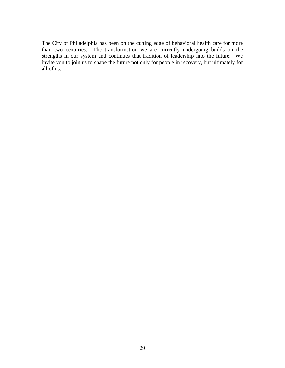The City of Philadelphia has been on the cutting edge of behavioral health care for more than two centuries. The transformation we are currently undergoing builds on the strengths in our system and continues that tradition of leadership into the future. We invite you to join us to shape the future not only for people in recovery, but ultimately for all of us.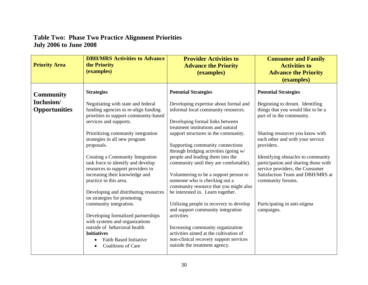## **Table Two: Phase Two Practice Alignment Priorities July 2006 to June 2008**

| <b>Priority Area</b>                      | <b>DBH/MRS Activities to Advance</b><br>the Priority<br>(examples)                                                                            | <b>Provider Activities to</b><br><b>Advance the Priority</b><br>(examples)                                                                             | <b>Consumer and Family</b><br><b>Activities to</b><br><b>Advance the Priority</b><br>(examples)               |
|-------------------------------------------|-----------------------------------------------------------------------------------------------------------------------------------------------|--------------------------------------------------------------------------------------------------------------------------------------------------------|---------------------------------------------------------------------------------------------------------------|
| <b>Community</b>                          | <b>Strategies</b>                                                                                                                             | <b>Potential Strategies</b>                                                                                                                            | <b>Potential Strategies</b>                                                                                   |
| <b>Inclusion/</b><br><b>Opportunities</b> | Negotiating with state and federal<br>funding agencies to re-align funding<br>priorities to support community-based<br>services and supports. | Developing expertise about formal and<br>informal local community resources.<br>Developing formal links between<br>treatment institutions and natural  | Beginning to dream. Identifing<br>things that you would like to be a<br>part of in the community.             |
|                                           | Prioritizing community integration<br>strategies in all new program<br>proposals.                                                             | support structures in the community.<br>Supporting community connections<br>through bridging activities (going w/                                      | Sharing resources you know with<br>each other and with your service<br>providers.                             |
|                                           | Creating a Community Integration<br>task force to identify and develop<br>resources to support providers in                                   | people and leading them into the<br>community until they are comfortable).                                                                             | Identifying obstacles to community<br>participation and sharing those with<br>service providers, the Consumer |
|                                           | increasing their knowledge and<br>practice in this area.                                                                                      | Volunteering to be a support person to<br>someone who is checking out a<br>community resource that you might also                                      | Satisfaction Team and DBH/MRS at<br>community forums.                                                         |
|                                           | Developing and distributing resources<br>on strategies for promoting<br>community integration.                                                | be interested in. Learn together.<br>Utilizing people in recovery to develop                                                                           | Participating in anti-stigma                                                                                  |
|                                           | Developing formalized partnerships<br>with systems and organizations                                                                          | and support community integration<br>activities                                                                                                        | campaigns.                                                                                                    |
|                                           | outside of behavioral health<br><b>Initiatives</b><br><b>Faith Based Initiative</b><br><b>Coalitions of Care</b>                              | Increasing community organization<br>activities aimed at the cultivation of<br>non-clinical recovery support services<br>outside the treatment agency. |                                                                                                               |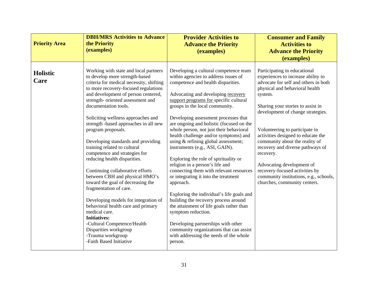| <b>Priority Area</b> | <b>DBH/MRS Activities to Advance</b><br>the Priority<br>(examples)                                                                                                                                                                                                                                                                                                                                                                                                                                                                                                                                                                                                                                                                                                                                                                                                             | <b>Provider Activities to</b><br><b>Advance the Priority</b><br>(examples)                                                                                                                                                                                                                                                                                                                                                                                                                                                                                                                                                                                                                                                                                                                                                                                                                                                                                      | <b>Consumer and Family</b><br><b>Activities to</b><br><b>Advance the Priority</b><br>(examples)                                                                                                                                                                                                                                                                                                                                                                                                                                       |
|----------------------|--------------------------------------------------------------------------------------------------------------------------------------------------------------------------------------------------------------------------------------------------------------------------------------------------------------------------------------------------------------------------------------------------------------------------------------------------------------------------------------------------------------------------------------------------------------------------------------------------------------------------------------------------------------------------------------------------------------------------------------------------------------------------------------------------------------------------------------------------------------------------------|-----------------------------------------------------------------------------------------------------------------------------------------------------------------------------------------------------------------------------------------------------------------------------------------------------------------------------------------------------------------------------------------------------------------------------------------------------------------------------------------------------------------------------------------------------------------------------------------------------------------------------------------------------------------------------------------------------------------------------------------------------------------------------------------------------------------------------------------------------------------------------------------------------------------------------------------------------------------|---------------------------------------------------------------------------------------------------------------------------------------------------------------------------------------------------------------------------------------------------------------------------------------------------------------------------------------------------------------------------------------------------------------------------------------------------------------------------------------------------------------------------------------|
| Holistic<br>Care     | Working with state and local partners<br>to develop more strength-based<br>criteria for medical necessity, shifting<br>to more recovery-focused regulations<br>and development of person centered,<br>strength- oriented assessment and<br>documentation tools.<br>Soliciting wellness approaches and<br>strength -based approaches in all new<br>program proposals.<br>Developing standards and providing<br>training related to cultural<br>competence and strategies for<br>reducing health disparities.<br>Continuing collaborative efforts<br>between CBH and physical HMO's<br>toward the goal of decreasing the<br>fragmentation of care.<br>Developing models for integration of<br>behavioral health care and primary<br>medical care.<br><b>Initiatives:</b><br>-Cultural Competence/Health<br>Disparities workgroup<br>-Trauma workgroup<br>-Faith Based Initiative | Developing a cultural competence team<br>within agencies to address issues of<br>competence and health disparities.<br>Advocating and developing recovery<br>support programs for specific cultural<br>groups in the local community.<br>Developing assessment processes that<br>are ongoing and holistic (focused on the<br>whole person, not just their behavioral<br>health challenge and/or symptoms) and<br>using & refining global assessment;<br>instruments (e.g., ASI, GAIN).<br>Exploring the role of spirituality or<br>religion in a person's life and<br>connecting them with relevant resources<br>or integrating it into the treatment<br>approach.<br>Exploring the individual's life goals and<br>building the recovery process around<br>the attainment of life goals rather than<br>symptom reduction.<br>Developing partnerships with other<br>community organizations that can assist<br>with addressing the needs of the whole<br>person. | Participating in educational<br>experiences to increase ability to<br>advocate for self and others in both<br>physical and behavioral health<br>system.<br>Sharing your stories to assist in<br>development of change strategies.<br>Volunteering to participate in<br>activities designed to educate the<br>community about the reality of<br>recovery and diverse pathways of<br>recovery.<br>Advocating development of<br>recovery-focused activities by<br>community institutions, e.g., schools,<br>churches, community centers. |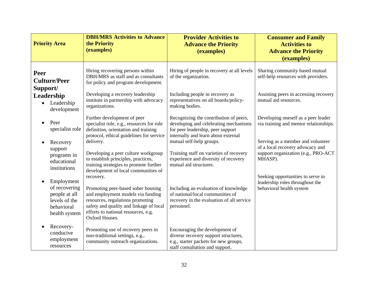| <b>Priority Area</b>                                                                         | <b>DBH/MRS Activities to Advance</b><br>the Priority<br>(examples)                                                                                                                                                           | <b>Provider Activities to</b><br><b>Advance the Priority</b><br>(examples)                                                                                  | <b>Consumer and Family</b><br><b>Activities to</b><br><b>Advance the Priority</b><br>(examples)                         |
|----------------------------------------------------------------------------------------------|------------------------------------------------------------------------------------------------------------------------------------------------------------------------------------------------------------------------------|-------------------------------------------------------------------------------------------------------------------------------------------------------------|-------------------------------------------------------------------------------------------------------------------------|
| Peer<br><b>Culture/Peer</b><br>Support/                                                      | Hiring recovering persons within<br>DBH/MRS as staff and as consultants<br>for policy and program development.                                                                                                               | Hiring of people in recovery at all levels<br>of the organization.                                                                                          | Sharing community based mutual<br>self-help resources with providers.                                                   |
| Leadership<br>Leadership<br>development                                                      | Developing a recovery leadership<br>institute in partnership with advocacy<br>organizations.                                                                                                                                 | Including people in recovery as<br>representatives on all boards/policy-<br>making bodies.                                                                  | Assisting peers in accessing recovery<br>mutual aid resources.                                                          |
| Peer<br>specialist role                                                                      | Further development of peer<br>specialist role, e.g., resources for role<br>definition, orientation and training<br>protocol, ethical guidelines for service                                                                 | Recognizing the contribution of peers,<br>developing and celebrating mechanisms<br>for peer leadership, peer support<br>internally and learn about external | Developing oneself as a peer leader<br>via training and mentor relationships.                                           |
| Recovery<br>support<br>programs in<br>educational<br>institutions                            | delivery.<br>Developing a peer culture workgroup<br>to establish principles, practices,<br>training strategies to promote further<br>development of local communities of                                                     | mutual self-help groups.<br>Training staff on varieties of recovery<br>experience and diversity of recovery<br>mutual aid structures.                       | Serving as a member and volunteer<br>of a local recovery advocacy and<br>support organization (e.g., PRO-ACT<br>MHASP). |
| Employment<br>of recovering<br>people at all<br>levels of the<br>behavioral<br>health system | recovery.<br>Promoting peer-based sober housing<br>and employment models via funding<br>resources, regulations promoting<br>safety and quality and linkage of local<br>efforts to national resources, e.g.<br>Oxford Houses. | Including an evaluation of knowledge<br>of national/local communities of<br>recovery in the evaluation of all service<br>personnel.                         | Seeking opportunities to serve in<br>leadership roles throughout the<br>behavioral health system                        |
| Recovery-<br>conducive<br>employment<br>resources                                            | Promoting use of recovery peers in<br>non-traditional settings, e.g.,<br>community outreach organizations.                                                                                                                   | Encouraging the development of<br>diverse recovery support structures,<br>e.g., starter packets for new groups,<br>staff consultation and support.          |                                                                                                                         |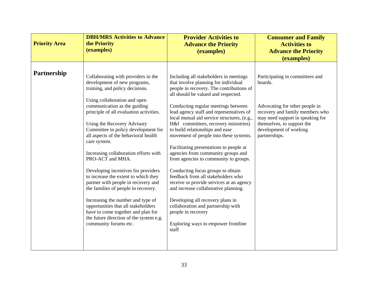| <b>Priority Area</b> | <b>DBH/MRS Activities to Advance</b><br>the Priority<br>(examples)                                                                                                                                                                                                                                                                                                                                                                                                                                                                                                                                                                                                                                                                                              | <b>Provider Activities to</b><br><b>Advance the Priority</b><br>(examples)                                                                                                                                                                                                                                                                                                                                                                                                                                                                                                                                                                                                                                                                                                                                                                                        | <b>Consumer and Family</b><br><b>Activities to</b><br><b>Advance the Priority</b><br>(examples)                                                                                                                              |
|----------------------|-----------------------------------------------------------------------------------------------------------------------------------------------------------------------------------------------------------------------------------------------------------------------------------------------------------------------------------------------------------------------------------------------------------------------------------------------------------------------------------------------------------------------------------------------------------------------------------------------------------------------------------------------------------------------------------------------------------------------------------------------------------------|-------------------------------------------------------------------------------------------------------------------------------------------------------------------------------------------------------------------------------------------------------------------------------------------------------------------------------------------------------------------------------------------------------------------------------------------------------------------------------------------------------------------------------------------------------------------------------------------------------------------------------------------------------------------------------------------------------------------------------------------------------------------------------------------------------------------------------------------------------------------|------------------------------------------------------------------------------------------------------------------------------------------------------------------------------------------------------------------------------|
| Partnership          | Collaborating with providers in the<br>development of new programs,<br>training, and policy decisions.<br>Using collaboration and open<br>communication as the guiding<br>principle of all evaluation activities.<br>Using the Recovery Advisory<br>Committee in policy development for<br>all aspects of the behavioral health<br>care system.<br>Increasing collaboration efforts with<br>PRO-ACT and MHA.<br>Developing incentives for providers<br>to increase the extent to which they<br>partner with people in recovery and<br>the families of people in recovery.<br>Increasing the number and type of<br>opportunities that all stakeholders<br>have to come together and plan for<br>the future direction of the system e.g.<br>community forums etc. | Including all stakeholders in meetings<br>that involve planning for individual<br>people in recovery. The contributions of<br>all should be valued and respected.<br>Conducting regular meetings between<br>lead agency staff and representatives of<br>local mutual aid service structures, (e.g.,<br>H&I committees, recovery ministries)<br>to build relationships and ease<br>movement of people into these systems.<br>Facilitating presentations to people at<br>agencies from community groups and<br>from agencies to community to groups.<br>Conducting focus groups to obtain<br>feedback from all stakeholders who<br>receive or provide services at an agency<br>and increase collaborative planning.<br>Developing all recovery plans in<br>collaboration and partnership with<br>people in recovery<br>Exploring ways to empower frontline<br>staff | Participating in committees and<br>boards.<br>Advocating for other people in<br>recovery and family members who<br>may need support in speaking for<br>themselves, to support the<br>development of working<br>partnerships. |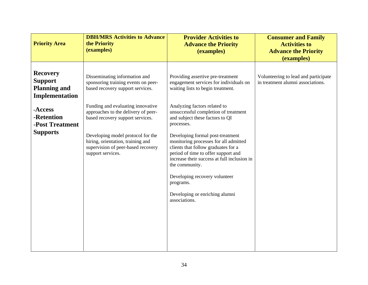| <b>Priority Area</b>                                                                                                                      | <b>DBH/MRS Activities to Advance</b><br>the Priority<br>(examples)                                                                                                                                                                                                                                                                                            | <b>Provider Activities to</b><br><b>Advance the Priority</b><br>(examples)                                                                                                                                                                                                                                                                                                                                                                                                                                                                                             | <b>Consumer and Family</b><br><b>Activities to</b><br><b>Advance the Priority</b><br>(examples) |
|-------------------------------------------------------------------------------------------------------------------------------------------|---------------------------------------------------------------------------------------------------------------------------------------------------------------------------------------------------------------------------------------------------------------------------------------------------------------------------------------------------------------|------------------------------------------------------------------------------------------------------------------------------------------------------------------------------------------------------------------------------------------------------------------------------------------------------------------------------------------------------------------------------------------------------------------------------------------------------------------------------------------------------------------------------------------------------------------------|-------------------------------------------------------------------------------------------------|
| <b>Recovery</b><br><b>Support</b><br><b>Planning and</b><br>Implementation<br>-Access<br>-Retention<br>-Post Treatment<br><b>Supports</b> | Disseminating information and<br>sponsoring training events on peer-<br>based recovery support services.<br>Funding and evaluating innovative<br>approaches to the delivery of peer-<br>based recovery support services.<br>Developing model protocol for the<br>hiring, orientation, training and<br>supervision of peer-based recovery<br>support services. | Providing assertive pre-treatment<br>engagement services for individuals on<br>waiting lists to begin treatment.<br>Analyzing factors related to<br>unsuccessful completion of treatment<br>and subject these factors to QI<br>processes.<br>Developing formal post-treatment<br>monitoring processes for all admitted<br>clients that follow graduates for a<br>period of time to offer support and<br>increase their success at full inclusion in<br>the community.<br>Developing recovery volunteer<br>programs.<br>Developing or enriching alumni<br>associations. | Volunteering to lead and participate<br>in treatment alumni associations.                       |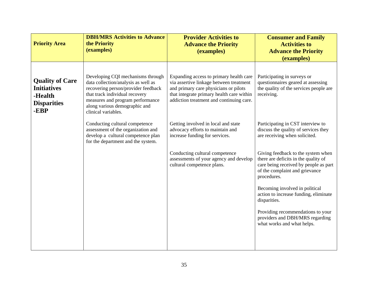| <b>Priority Area</b>                                                                  | <b>DBH/MRS Activities to Advance</b><br>the Priority<br>(examples)                                                                                                                                                                            | <b>Provider Activities to</b><br><b>Advance the Priority</b><br>(examples)                                                                                                                                           | <b>Consumer and Family</b><br><b>Activities to</b><br><b>Advance the Priority</b><br>(examples)                                                                      |
|---------------------------------------------------------------------------------------|-----------------------------------------------------------------------------------------------------------------------------------------------------------------------------------------------------------------------------------------------|----------------------------------------------------------------------------------------------------------------------------------------------------------------------------------------------------------------------|----------------------------------------------------------------------------------------------------------------------------------------------------------------------|
| <b>Quality of Care</b><br><b>Initiatives</b><br>-Health<br><b>Disparities</b><br>-EBP | Developing CQI mechanisms through<br>data collection/analysis as well as<br>recovering person/provider feedback<br>that track individual recovery<br>measures and program performance<br>along various demographic and<br>clinical variables. | Expanding access to primary health care<br>via assertive linkage between treatment<br>and primary care physicians or pilots<br>that integrate primary health care within<br>addiction treatment and continuing care. | Participating in surveys or<br>questionnaires geared at assessing<br>the quality of the services people are<br>receiving.                                            |
|                                                                                       | Conducting cultural competence<br>assessment of the organization and<br>develop a cultural competence plan<br>for the department and the system.                                                                                              | Getting involved in local and state<br>advocacy efforts to maintain and<br>increase funding for services.                                                                                                            | Participating in CST interview to<br>discuss the quality of services they<br>are receiving when solicited.                                                           |
|                                                                                       |                                                                                                                                                                                                                                               | Conducting cultural competence<br>assessments of your agency and develop<br>cultural competence plans.                                                                                                               | Giving feedback to the system when<br>there are deficits in the quality of<br>care being received by people as part<br>of the complaint and grievance<br>procedures. |
|                                                                                       |                                                                                                                                                                                                                                               |                                                                                                                                                                                                                      | Becoming involved in political<br>action to increase funding, eliminate<br>disparities.                                                                              |
|                                                                                       |                                                                                                                                                                                                                                               |                                                                                                                                                                                                                      | Providing recommendations to your<br>providers and DBH/MRS regarding<br>what works and what helps.                                                                   |
|                                                                                       |                                                                                                                                                                                                                                               |                                                                                                                                                                                                                      |                                                                                                                                                                      |